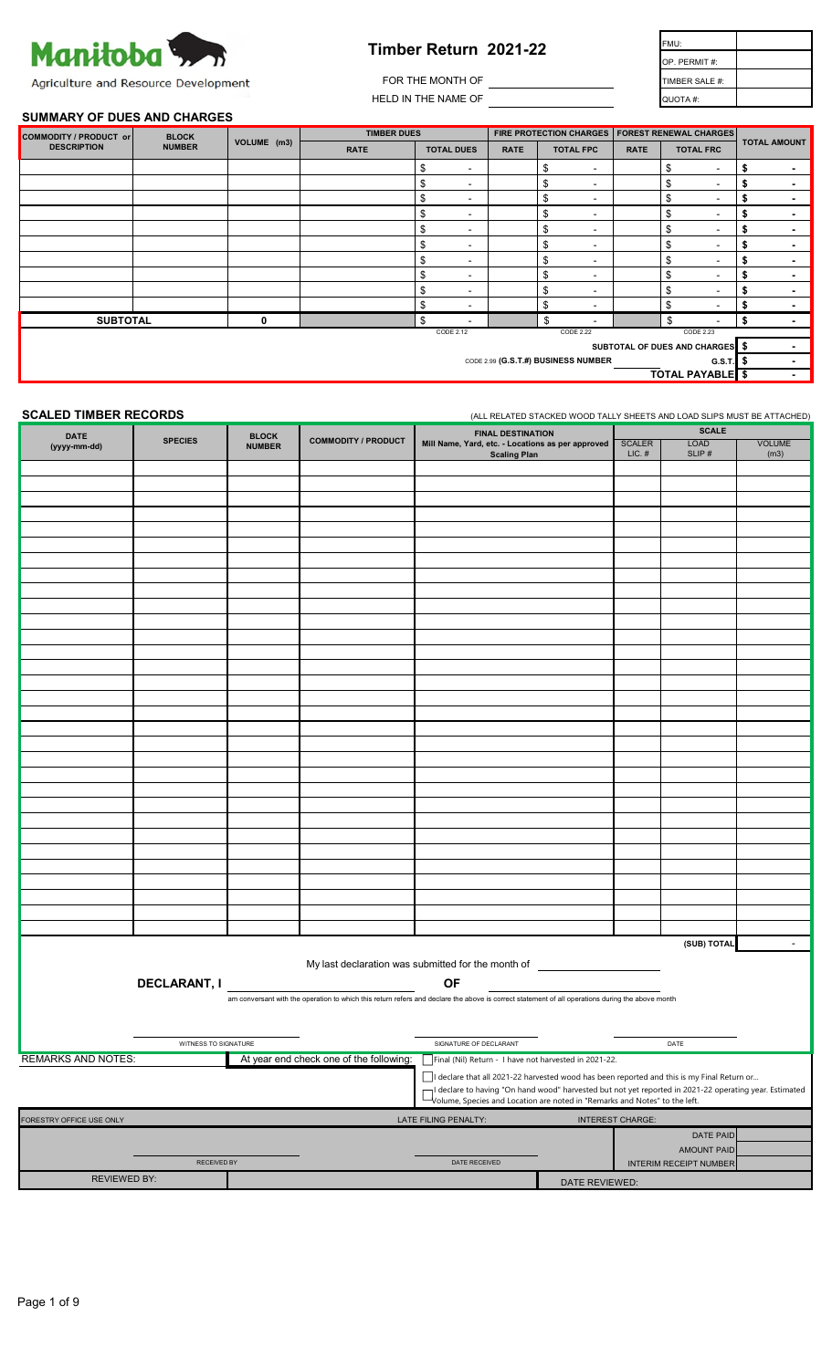

| Timber Return  2021-22 | FMU:           |
|------------------------|----------------|
|                        | OP. PERMIT#:   |
| FOR THE MONTH OF       | TIMBER SALE #: |
| HELD IN THE NAME OF    | QUOTA #:       |

# **SUMMARY OF DUES AND CHARGES**

| COMMODITY / PRODUCT or                                                                 | <b>BLOCK</b>  |             | <b>TIMBER DUES</b> |                      |                | FIRE PROTECTION CHARGES   FOREST RENEWAL CHARGES |             |                      |                      |
|----------------------------------------------------------------------------------------|---------------|-------------|--------------------|----------------------|----------------|--------------------------------------------------|-------------|----------------------|----------------------|
| <b>DESCRIPTION</b>                                                                     | <b>NUMBER</b> | VOLUME (m3) | <b>RATE</b>        | <b>TOTAL DUES</b>    | <b>RATE</b>    | <b>TOTAL FPC</b>                                 | <b>RATE</b> | <b>TOTAL FRC</b>     | <b>TOTAL AMOUNT</b>  |
|                                                                                        |               |             |                    | \$<br>$\sim$         |                | \$<br>$\blacksquare$                             |             | \$<br>$\sim$         | \$<br>$\blacksquare$ |
|                                                                                        |               |             |                    | \$<br>$\blacksquare$ |                | \$<br>$\overline{\phantom{a}}$                   |             | \$<br>$\blacksquare$ | \$<br>$\blacksquare$ |
|                                                                                        |               |             |                    | \$<br>$\sim$         |                | \$<br>$\overline{\phantom{a}}$                   |             | \$<br>$\sim$         | \$<br>$\blacksquare$ |
|                                                                                        |               |             |                    | \$<br>$\sim$         |                | \$<br>$\blacksquare$                             |             | \$<br>$\sim$         | \$<br>$\blacksquare$ |
|                                                                                        |               |             |                    | \$<br>$\blacksquare$ |                | \$<br>$\overline{\phantom{a}}$                   |             | \$<br>$\sim$         | \$<br>$\blacksquare$ |
|                                                                                        |               |             |                    | \$<br>$\blacksquare$ |                | \$<br>$\overline{\phantom{a}}$                   |             | \$<br>$\sim$         | \$<br>$\blacksquare$ |
|                                                                                        |               |             |                    | \$<br>$\blacksquare$ |                | \$<br>$\overline{\phantom{a}}$                   |             | \$<br>$\sim$         | \$<br>$\blacksquare$ |
|                                                                                        |               |             |                    | \$<br>$\blacksquare$ |                | \$<br>$\blacksquare$                             |             | \$<br>۰              | \$<br>$\blacksquare$ |
|                                                                                        |               |             |                    | \$<br>$\blacksquare$ |                | \$<br>$\overline{\phantom{a}}$                   |             | \$<br>۰              | \$<br>$\blacksquare$ |
|                                                                                        |               |             |                    | \$<br>$\sim$         |                | \$<br>$\overline{\phantom{a}}$                   |             | \$<br>$\sim$         | \$<br>$\blacksquare$ |
| <b>SUBTOTAL</b>                                                                        |               | 0           |                    | \$                   |                | \$                                               |             | \$                   | \$<br>$\blacksquare$ |
| CODE 2.12<br>CODE 2.22<br>CODE 2.23                                                    |               |             |                    |                      |                |                                                  |             |                      |                      |
| SUBTOTAL OF DUES AND CHARGES \$<br>CODE 2.99 (G.S.T.#) BUSINESS NUMBER<br>G.S.T. $\$\$ |               |             |                    |                      | $\blacksquare$ |                                                  |             |                      |                      |
|                                                                                        |               |             |                    |                      | $\blacksquare$ |                                                  |             |                      |                      |
|                                                                                        |               |             |                    |                      |                |                                                  |             | <b>TOTAL PAYABLE</b> | $\blacksquare$       |

**SCALED TIMBER RECORDS** (ALL RELATED STACKED WOOD TALLY SHEETS AND LOAD SLIPS MUST BE ATTACHED)

| <b>DATE</b>                                                                                       |                                                                                                        | <b>BLOCK</b>  |                                         | <b>FINAL DESTINATION</b>                                                                                                                         |                |                           | <b>SCALE</b>                  |                       |
|---------------------------------------------------------------------------------------------------|--------------------------------------------------------------------------------------------------------|---------------|-----------------------------------------|--------------------------------------------------------------------------------------------------------------------------------------------------|----------------|---------------------------|-------------------------------|-----------------------|
| (yyyy-mm-dd)                                                                                      | <b>SPECIES</b>                                                                                         | <b>NUMBER</b> | <b>COMMODITY / PRODUCT</b>              | Mill Name, Yard, etc. - Locations as per approved<br><b>Scaling Plan</b>                                                                         |                | <b>SCALER</b><br>$LIC.$ # | <b>LOAD</b><br>SLIP#          | <b>VOLUME</b><br>(m3) |
|                                                                                                   |                                                                                                        |               |                                         |                                                                                                                                                  |                |                           |                               |                       |
|                                                                                                   |                                                                                                        |               |                                         |                                                                                                                                                  |                |                           |                               |                       |
|                                                                                                   |                                                                                                        |               |                                         |                                                                                                                                                  |                |                           |                               |                       |
|                                                                                                   |                                                                                                        |               |                                         |                                                                                                                                                  |                |                           |                               |                       |
|                                                                                                   |                                                                                                        |               |                                         |                                                                                                                                                  |                |                           |                               |                       |
|                                                                                                   |                                                                                                        |               |                                         |                                                                                                                                                  |                |                           |                               |                       |
|                                                                                                   |                                                                                                        |               |                                         |                                                                                                                                                  |                |                           |                               |                       |
|                                                                                                   |                                                                                                        |               |                                         |                                                                                                                                                  |                |                           |                               |                       |
|                                                                                                   |                                                                                                        |               |                                         |                                                                                                                                                  |                |                           |                               |                       |
|                                                                                                   |                                                                                                        |               |                                         |                                                                                                                                                  |                |                           |                               |                       |
|                                                                                                   |                                                                                                        |               |                                         |                                                                                                                                                  |                |                           |                               |                       |
|                                                                                                   |                                                                                                        |               |                                         |                                                                                                                                                  |                |                           |                               |                       |
|                                                                                                   |                                                                                                        |               |                                         |                                                                                                                                                  |                |                           |                               |                       |
|                                                                                                   |                                                                                                        |               |                                         |                                                                                                                                                  |                |                           |                               |                       |
|                                                                                                   |                                                                                                        |               |                                         |                                                                                                                                                  |                |                           |                               |                       |
|                                                                                                   |                                                                                                        |               |                                         |                                                                                                                                                  |                |                           |                               |                       |
|                                                                                                   |                                                                                                        |               |                                         |                                                                                                                                                  |                |                           |                               |                       |
|                                                                                                   |                                                                                                        |               |                                         |                                                                                                                                                  |                |                           |                               |                       |
|                                                                                                   |                                                                                                        |               |                                         |                                                                                                                                                  |                |                           |                               |                       |
|                                                                                                   |                                                                                                        |               |                                         |                                                                                                                                                  |                |                           |                               |                       |
|                                                                                                   |                                                                                                        |               |                                         |                                                                                                                                                  |                |                           |                               |                       |
|                                                                                                   |                                                                                                        |               |                                         |                                                                                                                                                  |                |                           |                               |                       |
|                                                                                                   |                                                                                                        |               |                                         |                                                                                                                                                  |                |                           |                               |                       |
|                                                                                                   |                                                                                                        |               |                                         |                                                                                                                                                  |                |                           |                               |                       |
|                                                                                                   |                                                                                                        |               |                                         |                                                                                                                                                  |                |                           |                               |                       |
|                                                                                                   |                                                                                                        |               |                                         |                                                                                                                                                  |                |                           |                               |                       |
|                                                                                                   |                                                                                                        |               |                                         |                                                                                                                                                  |                |                           |                               |                       |
|                                                                                                   |                                                                                                        |               |                                         |                                                                                                                                                  |                |                           |                               |                       |
|                                                                                                   |                                                                                                        |               |                                         |                                                                                                                                                  |                |                           |                               |                       |
|                                                                                                   |                                                                                                        |               |                                         |                                                                                                                                                  |                |                           | (SUB) TOTAL                   | $\sim$ $-$            |
|                                                                                                   |                                                                                                        |               |                                         |                                                                                                                                                  |                |                           |                               |                       |
|                                                                                                   |                                                                                                        |               |                                         | My last declaration was submitted for the month of _____________________________                                                                 |                |                           |                               |                       |
|                                                                                                   | <b>DECLARANT, I</b>                                                                                    |               |                                         | <b>OF</b>                                                                                                                                        |                |                           |                               |                       |
|                                                                                                   |                                                                                                        |               |                                         | am conversant with the operation to which this return refers and declare the above is correct statement of all operations during the above month |                |                           |                               |                       |
|                                                                                                   |                                                                                                        |               |                                         |                                                                                                                                                  |                |                           |                               |                       |
|                                                                                                   | WITNESS TO SIGNATURE                                                                                   |               |                                         | SIGNATURE OF DECLARANT                                                                                                                           |                |                           | DATE                          |                       |
| <b>REMARKS AND NOTES:</b>                                                                         |                                                                                                        |               | At year end check one of the following: | Final (Nil) Return - I have not harvested in 2021-22.                                                                                            |                |                           |                               |                       |
|                                                                                                   |                                                                                                        |               |                                         | □ declare that all 2021-22 harvested wood has been reported and this is my Final Return or                                                       |                |                           |                               |                       |
|                                                                                                   | I declare to having "On hand wood" harvested but not yet reported in 2021-22 operating year. Estimated |               |                                         |                                                                                                                                                  |                |                           |                               |                       |
| $\overline{\mathsf{V}}$ olume, Species and Location are noted in "Remarks and Notes" to the left. |                                                                                                        |               |                                         |                                                                                                                                                  |                |                           |                               |                       |
| ORESTRY OFFICE USE ONLY                                                                           |                                                                                                        |               |                                         | LATE FILING PENALTY:                                                                                                                             |                | <b>INTEREST CHARGE:</b>   |                               |                       |
|                                                                                                   |                                                                                                        |               |                                         |                                                                                                                                                  |                |                           | DATE PAID                     |                       |
|                                                                                                   |                                                                                                        |               |                                         |                                                                                                                                                  |                |                           | <b>AMOUNT PAID</b>            |                       |
|                                                                                                   | <b>RECEIVED BY</b>                                                                                     |               |                                         | DATE RECEIVED                                                                                                                                    |                |                           | <b>INTERIM RECEIPT NUMBER</b> |                       |
| <b>REVIEWED BY:</b>                                                                               |                                                                                                        |               |                                         |                                                                                                                                                  | DATE REVIEWED: |                           |                               |                       |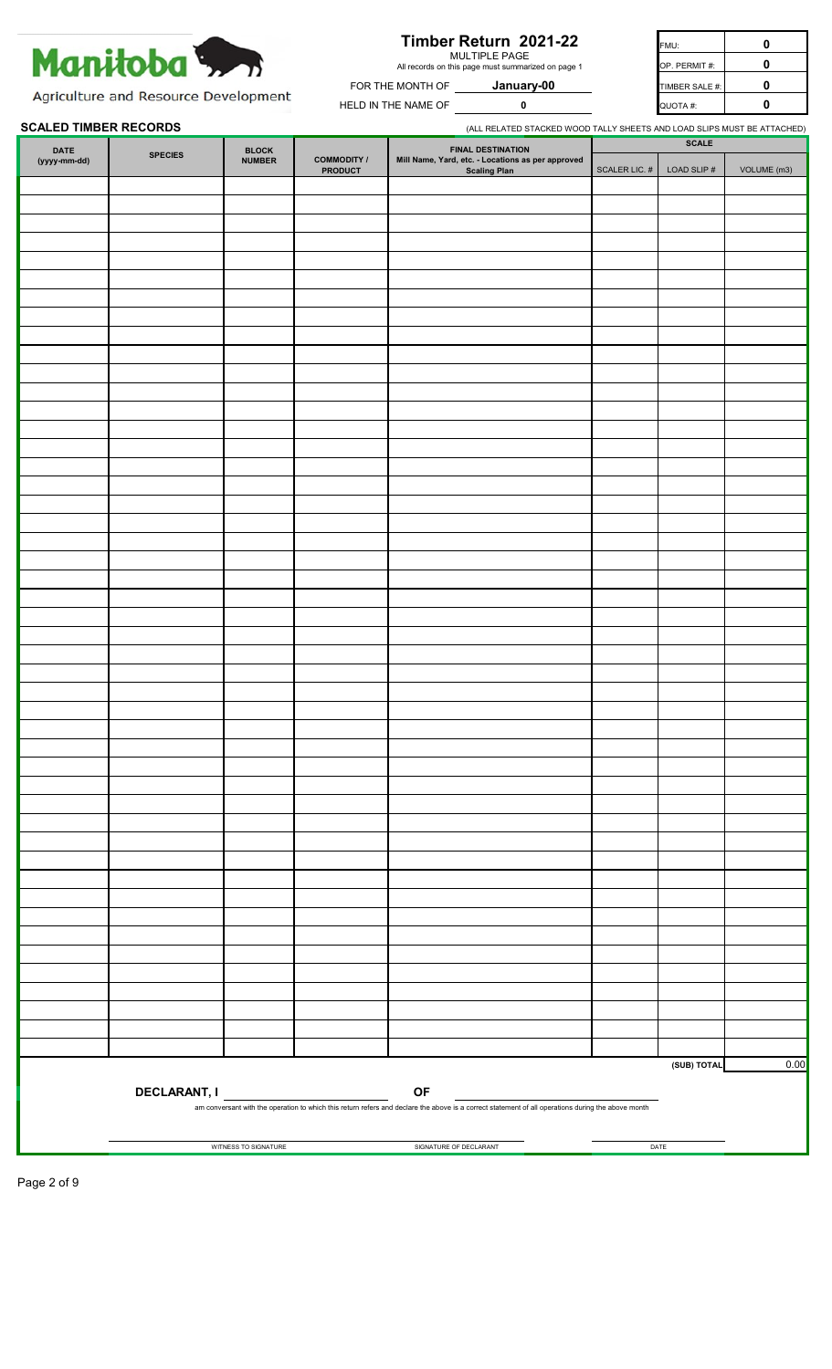

## **Timber Return 2021-22**

MULTIPLE PAGE All records on this page must summarized on page 1

**January-00**

FMU: **0** FOR THE MONTH OF **January-00** TIMBER SALE #: **0 HELD IN THE NAME OF**  $\begin{bmatrix} 0 & 0 & 0 \end{bmatrix}$  **and**  $\begin{bmatrix} 0 & 0 \end{bmatrix}$  $\begin{bmatrix} 0 & 0 \end{bmatrix}$ **0** OP. PERMIT #:

Agriculture and Resource Development

#### **SCALED TIMBER RECORDS** (ALL RELATED STACKED WOOD TALLY SHEETS AND LOAD SLIPS MUST BE ATTACHED)

| <b>DATE</b>  |                | <b>BLOCK</b>         |                                      | <b>FINAL DESTINATION</b>                                                                                                                           |                  | <b>SCALE</b>   |             |
|--------------|----------------|----------------------|--------------------------------------|----------------------------------------------------------------------------------------------------------------------------------------------------|------------------|----------------|-------------|
| (yyyy-mm-dd) | <b>SPECIES</b> | <b>NUMBER</b>        | <b>COMMODITY /</b><br><b>PRODUCT</b> | Mill Name, Yard, etc. - Locations as per approved<br>Scaling Plan                                                                                  | SCALER LIC. $\#$ | LOAD SLIP $\#$ | VOLUME (m3) |
|              |                |                      |                                      |                                                                                                                                                    |                  |                |             |
|              |                |                      |                                      |                                                                                                                                                    |                  |                |             |
|              |                |                      |                                      |                                                                                                                                                    |                  |                |             |
|              |                |                      |                                      |                                                                                                                                                    |                  |                |             |
|              |                |                      |                                      |                                                                                                                                                    |                  |                |             |
|              |                |                      |                                      |                                                                                                                                                    |                  |                |             |
|              |                |                      |                                      |                                                                                                                                                    |                  |                |             |
|              |                |                      |                                      |                                                                                                                                                    |                  |                |             |
|              |                |                      |                                      |                                                                                                                                                    |                  |                |             |
|              |                |                      |                                      |                                                                                                                                                    |                  |                |             |
|              |                |                      |                                      |                                                                                                                                                    |                  |                |             |
|              |                |                      |                                      |                                                                                                                                                    |                  |                |             |
|              |                |                      |                                      |                                                                                                                                                    |                  |                |             |
|              |                |                      |                                      |                                                                                                                                                    |                  |                |             |
|              |                |                      |                                      |                                                                                                                                                    |                  |                |             |
|              |                |                      |                                      |                                                                                                                                                    |                  |                |             |
|              |                |                      |                                      |                                                                                                                                                    |                  |                |             |
|              |                |                      |                                      |                                                                                                                                                    |                  |                |             |
|              |                |                      |                                      |                                                                                                                                                    |                  |                |             |
|              |                |                      |                                      |                                                                                                                                                    |                  |                |             |
|              |                |                      |                                      |                                                                                                                                                    |                  |                |             |
|              |                |                      |                                      |                                                                                                                                                    |                  |                |             |
|              |                |                      |                                      |                                                                                                                                                    |                  |                |             |
|              |                |                      |                                      |                                                                                                                                                    |                  |                |             |
|              |                |                      |                                      |                                                                                                                                                    |                  |                |             |
|              |                |                      |                                      |                                                                                                                                                    |                  |                |             |
|              |                |                      |                                      |                                                                                                                                                    |                  |                |             |
|              |                |                      |                                      |                                                                                                                                                    |                  |                |             |
|              |                |                      |                                      |                                                                                                                                                    |                  |                |             |
|              |                |                      |                                      |                                                                                                                                                    |                  |                |             |
|              |                |                      |                                      |                                                                                                                                                    |                  |                |             |
|              |                |                      |                                      |                                                                                                                                                    |                  |                |             |
|              |                |                      |                                      |                                                                                                                                                    |                  |                |             |
|              |                |                      |                                      |                                                                                                                                                    |                  |                |             |
|              |                |                      |                                      |                                                                                                                                                    |                  |                |             |
|              |                |                      |                                      |                                                                                                                                                    |                  |                |             |
|              |                |                      |                                      |                                                                                                                                                    |                  |                |             |
|              |                |                      |                                      |                                                                                                                                                    |                  |                |             |
|              |                |                      |                                      |                                                                                                                                                    |                  |                |             |
|              |                |                      |                                      |                                                                                                                                                    |                  |                |             |
|              |                |                      |                                      |                                                                                                                                                    |                  |                |             |
|              |                |                      |                                      |                                                                                                                                                    |                  |                |             |
|              |                |                      |                                      |                                                                                                                                                    |                  |                |             |
|              |                |                      |                                      |                                                                                                                                                    |                  |                |             |
|              |                |                      |                                      |                                                                                                                                                    |                  |                |             |
|              |                |                      |                                      |                                                                                                                                                    |                  |                |             |
|              |                |                      |                                      |                                                                                                                                                    |                  |                |             |
|              |                |                      |                                      |                                                                                                                                                    |                  |                |             |
|              |                |                      |                                      |                                                                                                                                                    |                  |                |             |
|              |                |                      |                                      |                                                                                                                                                    |                  | (SUB) TOTAL    | 0.00        |
|              |                |                      | DECLARANT, I                         | OF                                                                                                                                                 |                  |                |             |
|              |                |                      |                                      | am conversant with the operation to which this return refers and declare the above is a correct statement of all operations during the above month |                  |                |             |
|              |                |                      |                                      |                                                                                                                                                    |                  |                |             |
|              |                | WITNESS TO SIGNATURE |                                      | SIGNATURE OF DECLARANT                                                                                                                             |                  | DATE           |             |
|              |                |                      |                                      |                                                                                                                                                    |                  |                |             |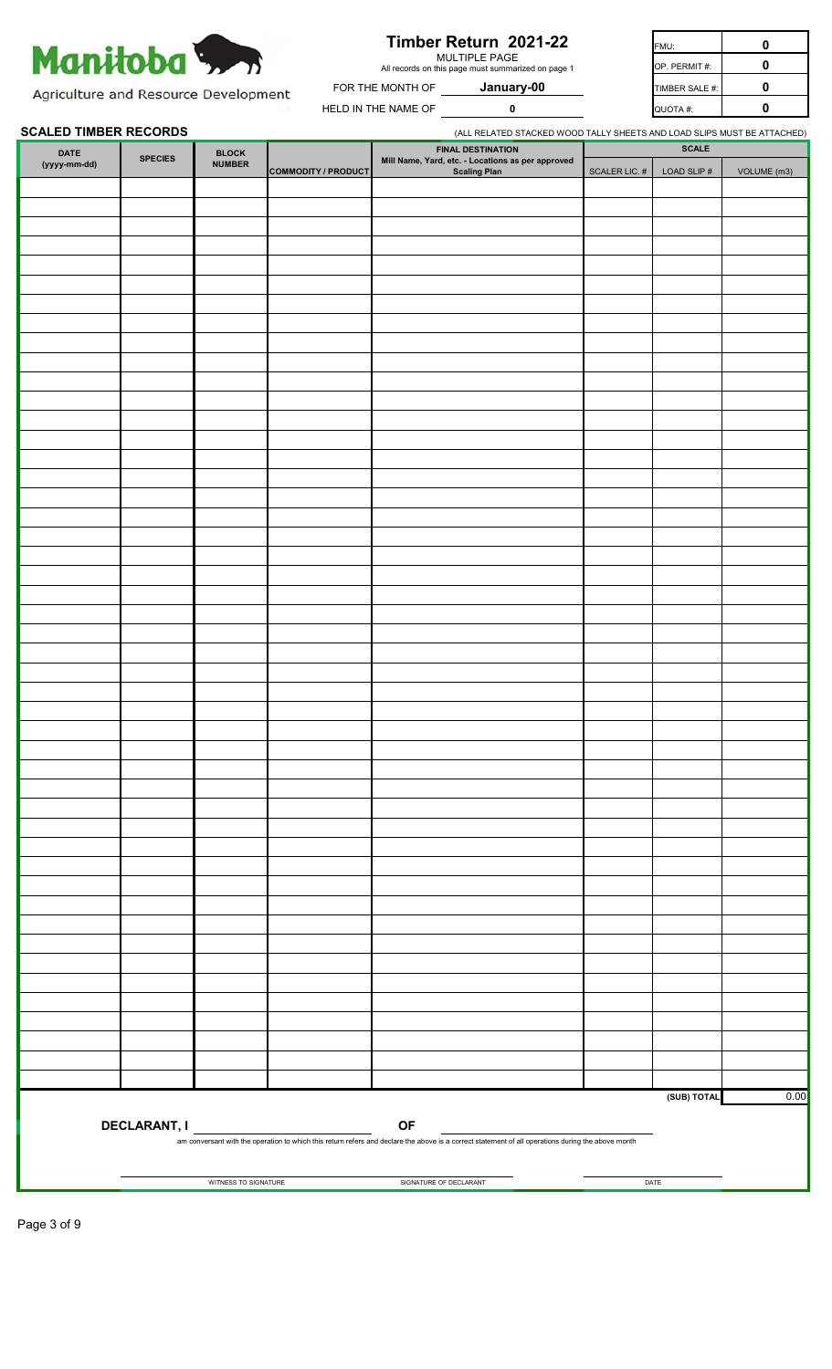

| 0 | FMU:           | Timber Return 2021-22                                               |                     |
|---|----------------|---------------------------------------------------------------------|---------------------|
| 0 | OP. PERMIT#:   | MULTIPLE PAGE<br>All records on this page must summarized on page 1 |                     |
| 0 | TIMBER SALE #: | January-00                                                          | FOR THE MONTH OF    |
| 0 | QUOTA #:       |                                                                     | HELD IN THE NAME OF |

Agriculture and Resource Development

#### **SCALED TIMBER RECORDS SCALED TIMBER RECORDS** (ALL RELATED STACKED WOOD TALLY SHEETS AND LOAD SLIPS MUST BE ATTACHED)

| $\overline{\text{DATE}}$ | <b>SPECIES</b> | ${\tt BLock}$        |                            |                                                                                                                                                    |                  | <b>SCALE</b>   |             |
|--------------------------|----------------|----------------------|----------------------------|----------------------------------------------------------------------------------------------------------------------------------------------------|------------------|----------------|-------------|
| (yyyy-mm-dd)             |                | <b>NUMBER</b>        | <b>COMMODITY / PRODUCT</b> | FINAL DESTINATION<br>Mill Name, Yard, etc. - Locations as per approved<br>Scaling Plan                                                             | SCALER LIC. $\#$ | LOAD SLIP $\#$ | VOLUME (m3) |
|                          |                |                      |                            |                                                                                                                                                    |                  |                |             |
|                          |                |                      |                            |                                                                                                                                                    |                  |                |             |
|                          |                |                      |                            |                                                                                                                                                    |                  |                |             |
|                          |                |                      |                            |                                                                                                                                                    |                  |                |             |
|                          |                |                      |                            |                                                                                                                                                    |                  |                |             |
|                          |                |                      |                            |                                                                                                                                                    |                  |                |             |
|                          |                |                      |                            |                                                                                                                                                    |                  |                |             |
|                          |                |                      |                            |                                                                                                                                                    |                  |                |             |
|                          |                |                      |                            |                                                                                                                                                    |                  |                |             |
|                          |                |                      |                            |                                                                                                                                                    |                  |                |             |
|                          |                |                      |                            |                                                                                                                                                    |                  |                |             |
|                          |                |                      |                            |                                                                                                                                                    |                  |                |             |
|                          |                |                      |                            |                                                                                                                                                    |                  |                |             |
|                          |                |                      |                            |                                                                                                                                                    |                  |                |             |
|                          |                |                      |                            |                                                                                                                                                    |                  |                |             |
|                          |                |                      |                            |                                                                                                                                                    |                  |                |             |
|                          |                |                      |                            |                                                                                                                                                    |                  |                |             |
|                          |                |                      |                            |                                                                                                                                                    |                  |                |             |
|                          |                |                      |                            |                                                                                                                                                    |                  |                |             |
|                          |                |                      |                            |                                                                                                                                                    |                  |                |             |
|                          |                |                      |                            |                                                                                                                                                    |                  |                |             |
|                          |                |                      |                            |                                                                                                                                                    |                  |                |             |
|                          |                |                      |                            |                                                                                                                                                    |                  |                |             |
|                          |                |                      |                            |                                                                                                                                                    |                  |                |             |
|                          |                |                      |                            |                                                                                                                                                    |                  |                |             |
|                          |                |                      |                            |                                                                                                                                                    |                  |                |             |
|                          |                |                      |                            |                                                                                                                                                    |                  |                |             |
|                          |                |                      |                            |                                                                                                                                                    |                  |                |             |
|                          |                |                      |                            |                                                                                                                                                    |                  |                |             |
|                          |                |                      |                            |                                                                                                                                                    |                  |                |             |
|                          |                |                      |                            |                                                                                                                                                    |                  |                |             |
|                          |                |                      |                            |                                                                                                                                                    |                  |                |             |
|                          |                |                      |                            |                                                                                                                                                    |                  |                |             |
|                          |                |                      |                            |                                                                                                                                                    |                  |                |             |
|                          |                |                      |                            |                                                                                                                                                    |                  |                |             |
|                          |                |                      |                            |                                                                                                                                                    |                  |                |             |
|                          |                |                      |                            |                                                                                                                                                    |                  |                |             |
|                          |                |                      |                            |                                                                                                                                                    |                  |                |             |
|                          |                |                      |                            |                                                                                                                                                    |                  |                |             |
|                          |                |                      |                            |                                                                                                                                                    |                  |                |             |
|                          |                |                      |                            |                                                                                                                                                    |                  |                |             |
|                          |                |                      |                            |                                                                                                                                                    |                  |                |             |
|                          |                |                      |                            |                                                                                                                                                    |                  |                |             |
|                          |                |                      |                            |                                                                                                                                                    |                  |                |             |
|                          |                |                      |                            |                                                                                                                                                    |                  |                |             |
|                          |                |                      |                            |                                                                                                                                                    |                  |                | 0.00        |
|                          |                |                      |                            |                                                                                                                                                    |                  | (SUB) TOTAL    |             |
|                          |                |                      | DECLARANT, I               | <b>OF</b>                                                                                                                                          |                  |                |             |
|                          |                |                      |                            | am conversant with the operation to which this return refers and declare the above is a correct statement of all operations during the above month |                  |                |             |
|                          |                |                      |                            |                                                                                                                                                    |                  |                |             |
|                          |                | WITNESS TO SIGNATURE |                            | SIGNATURE OF DECLARANT                                                                                                                             |                  | DATE           |             |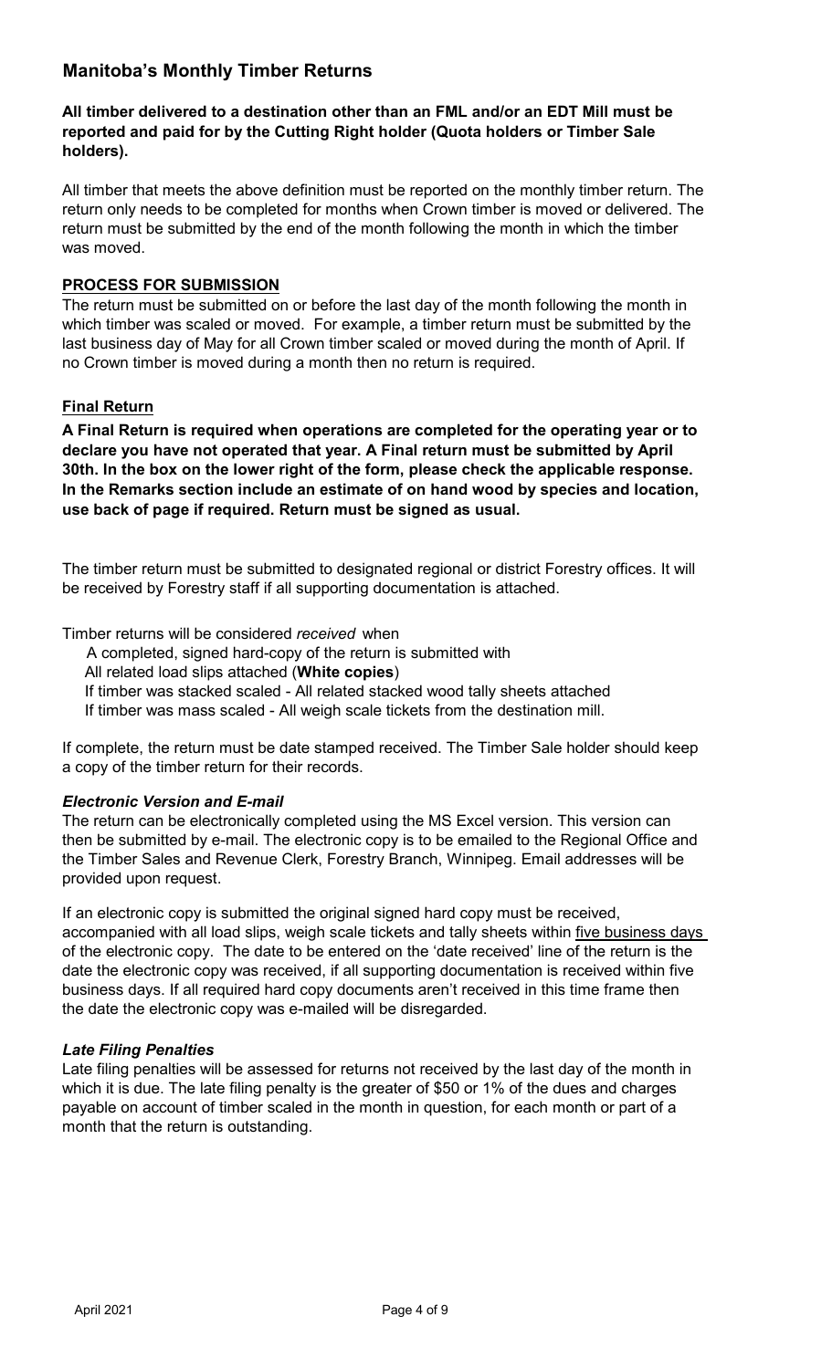## **Manitoba's Monthly Timber Returns**

## **All timber delivered to a destination other than an FML and/or an EDT Mill must be reported and paid for by the Cutting Right holder (Quota holders or Timber Sale holders).**

All timber that meets the above definition must be reported on the monthly timber return. The return only needs to be completed for months when Crown timber is moved or delivered. The return must be submitted by the end of the month following the month in which the timber was moved.

## **PROCESS FOR SUBMISSION**

The return must be submitted on or before the last day of the month following the month in which timber was scaled or moved. For example, a timber return must be submitted by the last business day of May for all Crown timber scaled or moved during the month of April. If no Crown timber is moved during a month then no return is required.

## **Final Return**

**A Final Return is required when operations are completed for the operating year or to declare you have not operated that year. A Final return must be submitted by April 30th. In the box on the lower right of the form, please check the applicable response. In the Remarks section include an estimate of on hand wood by species and location, use back of page if required. Return must be signed as usual.**

The timber return must be submitted to designated regional or district Forestry offices. It will be received by Forestry staff if all supporting documentation is attached.

Timber returns will be considered *received* when

A completed, signed hard-copy of the return is submitted with

All related load slips attached (**White copies**)

If timber was stacked scaled - All related stacked wood tally sheets attached

If timber was mass scaled - All weigh scale tickets from the destination mill.

If complete, the return must be date stamped received. The Timber Sale holder should keep a copy of the timber return for their records.

## *Electronic Version and E-mail*

The return can be electronically completed using the MS Excel version. This version can then be submitted by e-mail. The electronic copy is to be emailed to the Regional Office and the Timber Sales and Revenue Clerk, Forestry Branch, Winnipeg. Email addresses will be provided upon request.

If an electronic copy is submitted the original signed hard copy must be received, accompanied with all load slips, weigh scale tickets and tally sheets within five business days of the electronic copy. The date to be entered on the 'date received' line of the return is the date the electronic copy was received, if all supporting documentation is received within five business days. If all required hard copy documents aren't received in this time frame then the date the electronic copy was e-mailed will be disregarded.

## *Late Filing Penalties*

Late filing penalties will be assessed for returns not received by the last day of the month in which it is due. The late filing penalty is the greater of \$50 or 1% of the dues and charges payable on account of timber scaled in the month in question, for each month or part of a month that the return is outstanding.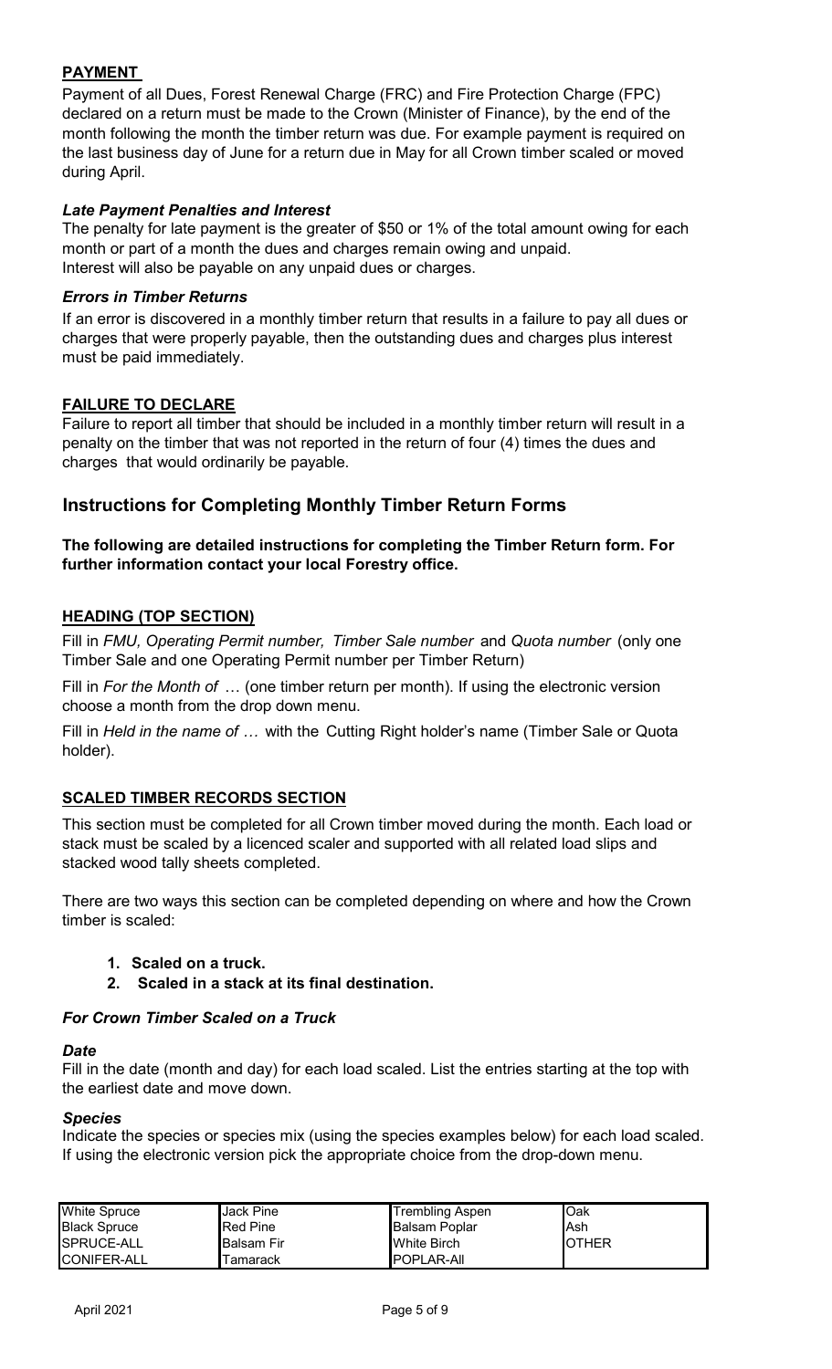## **PAYMENT**

Payment of all Dues, Forest Renewal Charge (FRC) and Fire Protection Charge (FPC) declared on a return must be made to the Crown (Minister of Finance), by the end of the month following the month the timber return was due. For example payment is required on the last business day of June for a return due in May for all Crown timber scaled or moved during April.

## *Late Payment Penalties and Interest*

The penalty for late payment is the greater of \$50 or 1% of the total amount owing for each month or part of a month the dues and charges remain owing and unpaid. Interest will also be payable on any unpaid dues or charges.

## *Errors in Timber Returns*

If an error is discovered in a monthly timber return that results in a failure to pay all dues or charges that were properly payable, then the outstanding dues and charges plus interest must be paid immediately.

## **FAILURE TO DECLARE**

Failure to report all timber that should be included in a monthly timber return will result in a penalty on the timber that was not reported in the return of four (4) times the dues and charges that would ordinarily be payable.

## **Instructions for Completing Monthly Timber Return Forms**

## **The following are detailed instructions for completing the Timber Return form. For further information contact your local Forestry office.**

## **HEADING (TOP SECTION)**

Fill in *FMU, Operating Permit number, Timber Sale number* and *Quota number* (only one Timber Sale and one Operating Permit number per Timber Return)

Fill in *For the Month of* … (one timber return per month). If using the electronic version choose a month from the drop down menu.

Fill in *Held in the name of …* with the Cutting Right holder's name (Timber Sale or Quota holder).

## **SCALED TIMBER RECORDS SECTION**

This section must be completed for all Crown timber moved during the month. Each load or stack must be scaled by a licenced scaler and supported with all related load slips and stacked wood tally sheets completed.

There are two ways this section can be completed depending on where and how the Crown timber is scaled:

- **1. Scaled on a truck.**
- **2. Scaled in a stack at its final destination.**

## *For Crown Timber Scaled on a Truck*

## *Date*

Fill in the date (month and day) for each load scaled. List the entries starting at the top with the earliest date and move down.

## *Species*

Indicate the species or species mix (using the species examples below) for each load scaled. If using the electronic version pick the appropriate choice from the drop-down menu.

| <b>White Spruce</b> | IJack Pine      | <b>Trembling Aspen</b> | <b>I</b> Oak   |
|---------------------|-----------------|------------------------|----------------|
| <b>Black Spruce</b> | <b>Red Pine</b> | <b>Balsam Poplar</b>   | lAsh           |
| SPRUCE-ALL          | lBalsam Fir     | White Birch            | <b>I</b> OTHER |
| <b>ICONIFER-ALL</b> | Tamarack        | <b>POPLAR-AIL</b>      |                |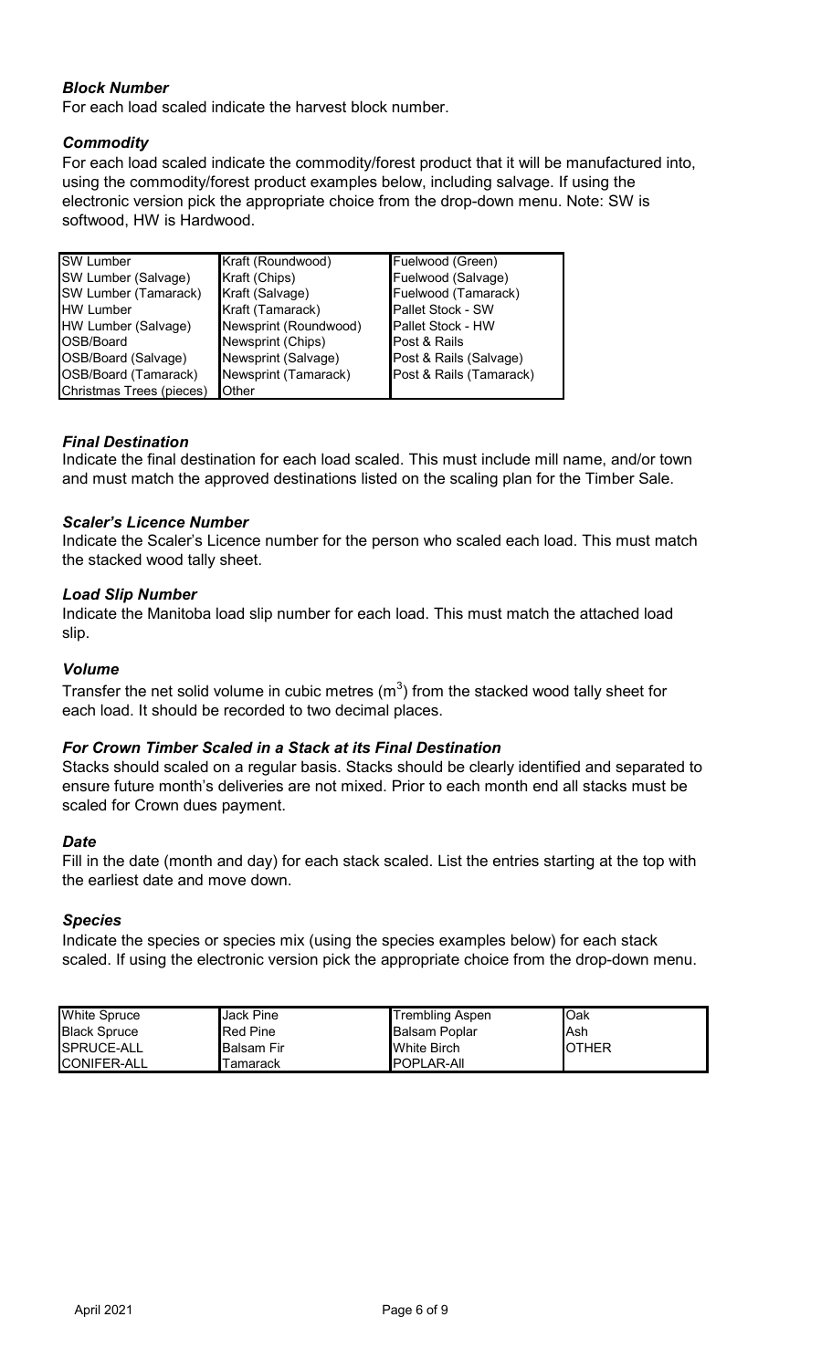## *Block Number*

For each load scaled indicate the harvest block number.

## *Commodity*

For each load scaled indicate the commodity/forest product that it will be manufactured into, using the commodity/forest product examples below, including salvage. If using the electronic version pick the appropriate choice from the drop-down menu. Note: SW is softwood, HW is Hardwood.

| <b>SW Lumber</b>         | Kraft (Roundwood)     | Fuelwood (Green)         |
|--------------------------|-----------------------|--------------------------|
| SW Lumber (Salvage)      | Kraft (Chips)         | Fuelwood (Salvage)       |
| SW Lumber (Tamarack)     | Kraft (Salvage)       | Fuelwood (Tamarack)      |
| <b>HW Lumber</b>         | Kraft (Tamarack)      | Pallet Stock - SW        |
| HW Lumber (Salvage)      | Newsprint (Roundwood) | <b>Pallet Stock - HW</b> |
| OSB/Board                | Newsprint (Chips)     | Post & Rails             |
| OSB/Board (Salvage)      | Newsprint (Salvage)   | Post & Rails (Salvage)   |
| OSB/Board (Tamarack)     | Newsprint (Tamarack)  | Post & Rails (Tamarack)  |
| Christmas Trees (pieces) | Other                 |                          |

## *Final Destination*

Indicate the final destination for each load scaled. This must include mill name, and/or town and must match the approved destinations listed on the scaling plan for the Timber Sale.

## *Scaler's Licence Number*

Indicate the Scaler's Licence number for the person who scaled each load. This must match the stacked wood tally sheet.

## *Load Slip Number*

Indicate the Manitoba load slip number for each load. This must match the attached load slip.

## *Volume*

Transfer the net solid volume in cubic metres (m $^3)$  from the stacked wood tally sheet for each load. It should be recorded to two decimal places.

## *For Crown Timber Scaled in a Stack at its Final Destination*

Stacks should scaled on a regular basis. Stacks should be clearly identified and separated to ensure future month's deliveries are not mixed. Prior to each month end all stacks must be scaled for Crown dues payment.

#### *Date*

Fill in the date (month and day) for each stack scaled. List the entries starting at the top with the earliest date and move down.

#### *Species*

Indicate the species or species mix (using the species examples below) for each stack scaled. If using the electronic version pick the appropriate choice from the drop-down menu.

| <b>White Spruce</b> | <b>Jack Pine</b>    | <b>Trembling Aspen</b> | <b>l</b> Oak   |
|---------------------|---------------------|------------------------|----------------|
| <b>Black Spruce</b> | <b>Red Pine</b>     | <b>Balsam Poplar</b>   | lAsh           |
| SPRUCE-ALL          | <b>I</b> Balsam Fir | <b>White Birch</b>     | <b>I</b> OTHER |
| <b>CONIFER-ALL</b>  | Tamarack            | <b>IPOPLAR-AII</b>     |                |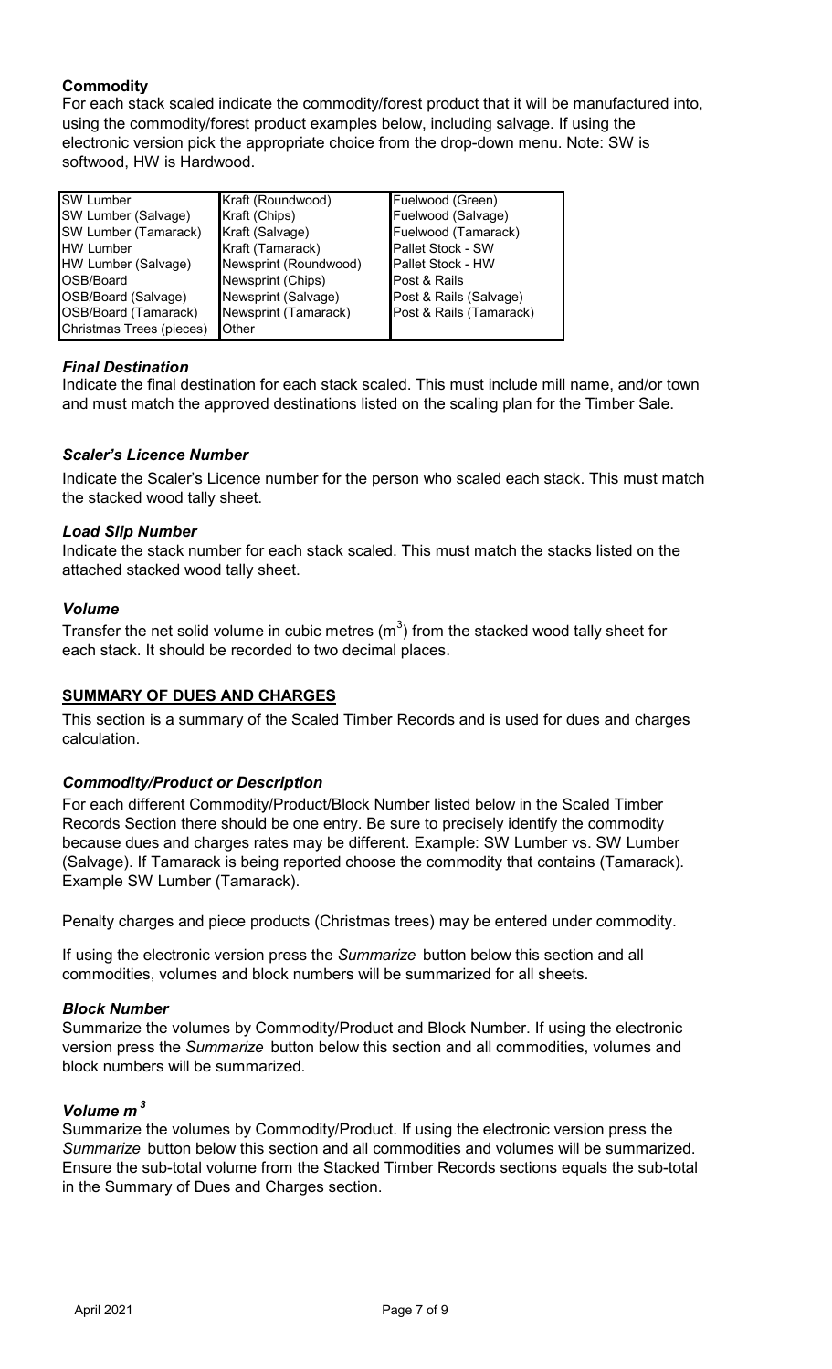## **Commodity**

For each stack scaled indicate the commodity/forest product that it will be manufactured into, using the commodity/forest product examples below, including salvage. If using the electronic version pick the appropriate choice from the drop-down menu. Note: SW is softwood, HW is Hardwood.

| <b>SW</b> Lumber         | Kraft (Roundwood)     | Fuelwood (Green)         |
|--------------------------|-----------------------|--------------------------|
| SW Lumber (Salvage)      | Kraft (Chips)         | Fuelwood (Salvage)       |
| SW Lumber (Tamarack)     | Kraft (Salvage)       | Fuelwood (Tamarack)      |
| <b>HW Lumber</b>         | Kraft (Tamarack)      | Pallet Stock - SW        |
| HW Lumber (Salvage)      | Newsprint (Roundwood) | <b>Pallet Stock - HW</b> |
| OSB/Board                | Newsprint (Chips)     | Post & Rails             |
| OSB/Board (Salvage)      | Newsprint (Salvage)   | Post & Rails (Salvage)   |
| OSB/Board (Tamarack)     | Newsprint (Tamarack)  | Post & Rails (Tamarack)  |
| Christmas Trees (pieces) | <b>Other</b>          |                          |

## *Final Destination*

Indicate the final destination for each stack scaled. This must include mill name, and/or town and must match the approved destinations listed on the scaling plan for the Timber Sale.

## *Scaler's Licence Number*

Indicate the Scaler's Licence number for the person who scaled each stack. This must match the stacked wood tally sheet.

## *Load Slip Number*

Indicate the stack number for each stack scaled. This must match the stacks listed on the attached stacked wood tally sheet.

## *Volume*

Transfer the net solid volume in cubic metres (m $^3)$  from the stacked wood tally sheet for each stack. It should be recorded to two decimal places.

## **SUMMARY OF DUES AND CHARGES**

This section is a summary of the Scaled Timber Records and is used for dues and charges calculation.

## *Commodity/Product or Description*

For each different Commodity/Product/Block Number listed below in the Scaled Timber Records Section there should be one entry. Be sure to precisely identify the commodity because dues and charges rates may be different. Example: SW Lumber vs. SW Lumber (Salvage). If Tamarack is being reported choose the commodity that contains (Tamarack). Example SW Lumber (Tamarack).

Penalty charges and piece products (Christmas trees) may be entered under commodity.

If using the electronic version press the *Summarize* button below this section and all commodities, volumes and block numbers will be summarized for all sheets.

## *Block Number*

Summarize the volumes by Commodity/Product and Block Number. If using the electronic version press the *Summarize* button below this section and all commodities, volumes and block numbers will be summarized.

## *Volume m <sup>3</sup>*

Summarize the volumes by Commodity/Product. If using the electronic version press the *Summarize* button below this section and all commodities and volumes will be summarized. Ensure the sub-total volume from the Stacked Timber Records sections equals the sub-total in the Summary of Dues and Charges section.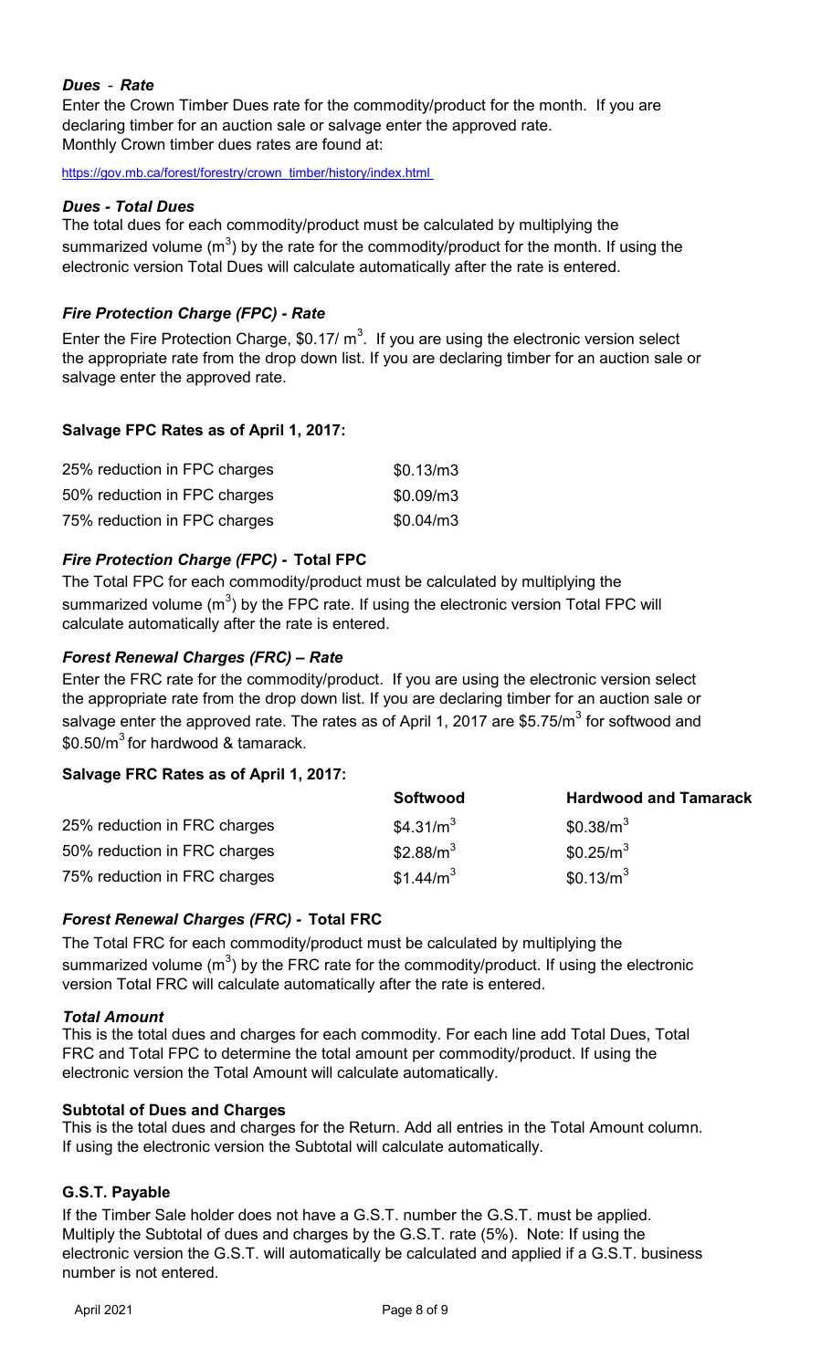## *Dues - Rate*

Enter the Crown Timber Dues rate for the commodity/product for the month. If you are declaring timber for an auction sale or salvage enter the approved rate. Monthly Crown timber dues rates are found at:

[https://gov.mb.ca/forest/forestry/crown\\_timber/history/index.html](https://gov.mb.ca/forest/forestry/crown_timber/history/index.html) 

## *Dues - Total Dues*

The total dues for each commodity/product must be calculated by multiplying the summarized volume (m $^3$ ) by the rate for the commodity/product for the month. If using the electronic version Total Dues will calculate automatically after the rate is entered.

## *Fire Protection Charge (FPC) - Rate*

Enter the Fire Protection Charge, \$0.17/  $\text{m}^3$ . If you are using the electronic version select the appropriate rate from the drop down list. If you are declaring timber for an auction sale or salvage enter the approved rate.

## **Salvage FPC Rates as of April 1, 2017:**

| 25% reduction in FPC charges | \$0.13/m3 |
|------------------------------|-----------|
| 50% reduction in FPC charges | \$0.09/m3 |
| 75% reduction in FPC charges | \$0.04/m3 |

## *Fire Protection Charge (FPC) -* **Total FPC**

The Total FPC for each commodity/product must be calculated by multiplying the summarized volume (m $^3$ ) by the FPC rate. If using the electronic version Total FPC will calculate automatically after the rate is entered.

## *Forest Renewal Charges (FRC) – Rate*

Enter the FRC rate for the commodity/product. If you are using the electronic version select the appropriate rate from the drop down list. If you are declaring timber for an auction sale or salvage enter the approved rate. The rates as of April 1, 2017 are \$5.75/m $^3$  for softwood and  $$0.50/m<sup>3</sup>$  for hardwood & tamarack.

## **Salvage FRC Rates as of April 1, 2017:**

|                              | <b>Softwood</b>       | <b>Hardwood and Tamarack</b> |
|------------------------------|-----------------------|------------------------------|
| 25% reduction in FRC charges | \$4.31/ $m3$          | \$0.38/m <sup>3</sup>        |
| 50% reduction in FRC charges | \$2.88/ $m3$          | $$0.25/m^3$                  |
| 75% reduction in FRC charges | \$1.44/m <sup>3</sup> | \$0.13/m <sup>3</sup>        |

## *Forest Renewal Charges (FRC) -* **Total FRC**

The Total FRC for each commodity/product must be calculated by multiplying the summarized volume (m $^3$ ) by the FRC rate for the commodity/product. If using the electronic version Total FRC will calculate automatically after the rate is entered.

## *Total Amount*

This is the total dues and charges for each commodity. For each line add Total Dues, Total FRC and Total FPC to determine the total amount per commodity/product. If using the electronic version the Total Amount will calculate automatically.

## **Subtotal of Dues and Charges**

This is the total dues and charges for the Return. Add all entries in the Total Amount column. If using the electronic version the Subtotal will calculate automatically.

## **G.S.T. Payable**

If the Timber Sale holder does not have a G.S.T. number the G.S.T. must be applied. Multiply the Subtotal of dues and charges by the G.S.T. rate (5%). Note: If using the electronic version the G.S.T. will automatically be calculated and applied if a G.S.T. business number is not entered.